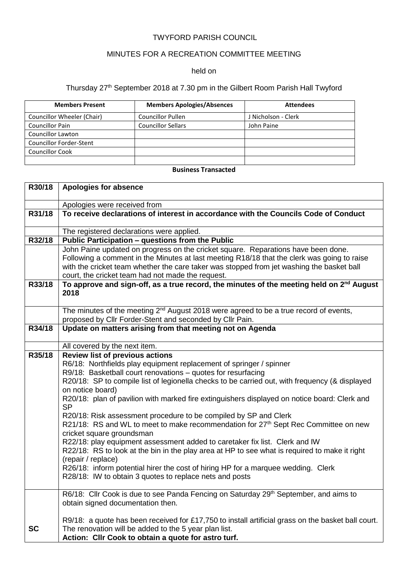### TWYFORD PARISH COUNCIL

# MINUTES FOR A RECREATION COMMITTEE MEETING

#### held on

# Thursday 27<sup>th</sup> September 2018 at 7.30 pm in the Gilbert Room Parish Hall Twyford

| <b>Members Present</b>         | <b>Members Apologies/Absences</b> | <b>Attendees</b>    |
|--------------------------------|-----------------------------------|---------------------|
| Councillor Wheeler (Chair)     | <b>Councillor Pullen</b>          | J Nicholson - Clerk |
| <b>Councillor Pain</b>         | <b>Councillor Sellars</b>         | John Paine          |
| <b>Councillor Lawton</b>       |                                   |                     |
| <b>Councillor Forder-Stent</b> |                                   |                     |
| <b>Councillor Cook</b>         |                                   |                     |
|                                |                                   |                     |

### **Business Transacted**

| R30/18    | <b>Apologies for absence</b>                                                                                                                                                                                                                                                                                                                                                                                                                                                                                                                                                                                                                                                                                                                                                                                                                                                                                                                                               |
|-----------|----------------------------------------------------------------------------------------------------------------------------------------------------------------------------------------------------------------------------------------------------------------------------------------------------------------------------------------------------------------------------------------------------------------------------------------------------------------------------------------------------------------------------------------------------------------------------------------------------------------------------------------------------------------------------------------------------------------------------------------------------------------------------------------------------------------------------------------------------------------------------------------------------------------------------------------------------------------------------|
|           | Apologies were received from                                                                                                                                                                                                                                                                                                                                                                                                                                                                                                                                                                                                                                                                                                                                                                                                                                                                                                                                               |
| R31/18    | To receive declarations of interest in accordance with the Councils Code of Conduct                                                                                                                                                                                                                                                                                                                                                                                                                                                                                                                                                                                                                                                                                                                                                                                                                                                                                        |
|           | The registered declarations were applied.                                                                                                                                                                                                                                                                                                                                                                                                                                                                                                                                                                                                                                                                                                                                                                                                                                                                                                                                  |
| R32/18    | Public Participation - questions from the Public                                                                                                                                                                                                                                                                                                                                                                                                                                                                                                                                                                                                                                                                                                                                                                                                                                                                                                                           |
|           | John Paine updated on progress on the cricket square. Reparations have been done.<br>Following a comment in the Minutes at last meeting R18/18 that the clerk was going to raise<br>with the cricket team whether the care taker was stopped from jet washing the basket ball<br>court, the cricket team had not made the request.                                                                                                                                                                                                                                                                                                                                                                                                                                                                                                                                                                                                                                         |
| R33/18    | To approve and sign-off, as a true record, the minutes of the meeting held on 2 <sup>nd</sup> August<br>2018                                                                                                                                                                                                                                                                                                                                                                                                                                                                                                                                                                                                                                                                                                                                                                                                                                                               |
|           | The minutes of the meeting 2 <sup>nd</sup> August 2018 were agreed to be a true record of events,<br>proposed by Cllr Forder-Stent and seconded by Cllr Pain.                                                                                                                                                                                                                                                                                                                                                                                                                                                                                                                                                                                                                                                                                                                                                                                                              |
| R34/18    | Update on matters arising from that meeting not on Agenda                                                                                                                                                                                                                                                                                                                                                                                                                                                                                                                                                                                                                                                                                                                                                                                                                                                                                                                  |
|           | All covered by the next item.                                                                                                                                                                                                                                                                                                                                                                                                                                                                                                                                                                                                                                                                                                                                                                                                                                                                                                                                              |
| R35/18    | <b>Review list of previous actions</b><br>R6/18: Northfields play equipment replacement of springer / spinner<br>R9/18: Basketball court renovations - quotes for resurfacing<br>R20/18: SP to compile list of legionella checks to be carried out, with frequency (& displayed<br>on notice board)<br>R20/18: plan of pavilion with marked fire extinguishers displayed on notice board: Clerk and<br><b>SP</b><br>R20/18: Risk assessment procedure to be compiled by SP and Clerk<br>R21/18: RS and WL to meet to make recommendation for 27 <sup>th</sup> Sept Rec Committee on new<br>cricket square groundsman<br>R22/18: play equipment assessment added to caretaker fix list. Clerk and IW<br>R22/18: RS to look at the bin in the play area at HP to see what is required to make it right<br>(repair / replace)<br>R26/18: inform potential hirer the cost of hiring HP for a marquee wedding. Clerk<br>R28/18: IW to obtain 3 quotes to replace nets and posts |
| <b>SC</b> | R6/18: Cllr Cook is due to see Panda Fencing on Saturday 29 <sup>th</sup> September, and aims to<br>obtain signed documentation then.<br>R9/18: a quote has been received for £17,750 to install artificial grass on the basket ball court.<br>The renovation will be added to the 5 year plan list.<br>Action: Cllr Cook to obtain a quote for astro turf.                                                                                                                                                                                                                                                                                                                                                                                                                                                                                                                                                                                                                |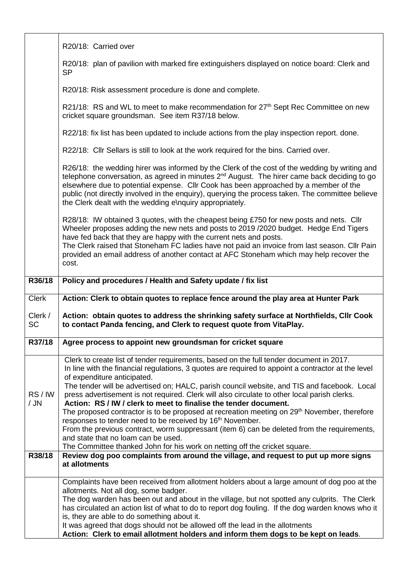|                      | R20/18: Carried over                                                                                                                                                                                                                                                                                                                                                                                                                                                                                                                                            |
|----------------------|-----------------------------------------------------------------------------------------------------------------------------------------------------------------------------------------------------------------------------------------------------------------------------------------------------------------------------------------------------------------------------------------------------------------------------------------------------------------------------------------------------------------------------------------------------------------|
|                      | R20/18: plan of pavilion with marked fire extinguishers displayed on notice board: Clerk and<br><b>SP</b>                                                                                                                                                                                                                                                                                                                                                                                                                                                       |
|                      | R20/18: Risk assessment procedure is done and complete.                                                                                                                                                                                                                                                                                                                                                                                                                                                                                                         |
|                      | R21/18: RS and WL to meet to make recommendation for 27 <sup>th</sup> Sept Rec Committee on new<br>cricket square groundsman. See item R37/18 below.                                                                                                                                                                                                                                                                                                                                                                                                            |
|                      | R22/18: fix list has been updated to include actions from the play inspection report. done.                                                                                                                                                                                                                                                                                                                                                                                                                                                                     |
|                      | R22/18: Cllr Sellars is still to look at the work required for the bins. Carried over.                                                                                                                                                                                                                                                                                                                                                                                                                                                                          |
|                      | R26/18: the wedding hirer was informed by the Clerk of the cost of the wedding by writing and<br>telephone conversation, as agreed in minutes 2 <sup>nd</sup> August. The hirer came back deciding to go<br>elsewhere due to potential expense. Cllr Cook has been approached by a member of the<br>public (not directly involved in the enquiry), querying the process taken. The committee believe<br>the Clerk dealt with the wedding e\nquiry appropriately.                                                                                                |
|                      | R28/18: IW obtained 3 quotes, with the cheapest being £750 for new posts and nets. Cllr<br>Wheeler proposes adding the new nets and posts to 2019 / 2020 budget. Hedge End Tigers<br>have fed back that they are happy with the current nets and posts.<br>The Clerk raised that Stoneham FC ladies have not paid an invoice from last season. Cllr Pain<br>provided an email address of another contact at AFC Stoneham which may help recover the<br>cost.                                                                                                    |
| R36/18               | Policy and procedures / Health and Safety update / fix list                                                                                                                                                                                                                                                                                                                                                                                                                                                                                                     |
|                      |                                                                                                                                                                                                                                                                                                                                                                                                                                                                                                                                                                 |
| <b>Clerk</b>         | Action: Clerk to obtain quotes to replace fence around the play area at Hunter Park                                                                                                                                                                                                                                                                                                                                                                                                                                                                             |
| Clerk /<br><b>SC</b> | Action: obtain quotes to address the shrinking safety surface at Northfields, Cllr Cook<br>to contact Panda fencing, and Clerk to request quote from VitaPlay.                                                                                                                                                                                                                                                                                                                                                                                                  |
| R37/18               | Agree process to appoint new groundsman for cricket square                                                                                                                                                                                                                                                                                                                                                                                                                                                                                                      |
| RS/IW<br>$/$ JN      | Clerk to create list of tender requirements, based on the full tender document in 2017.<br>In line with the financial regulations, 3 quotes are required to appoint a contractor at the level<br>of expenditure anticipated.<br>The tender will be advertised on; HALC, parish council website, and TIS and facebook. Local<br>press advertisement is not required. Clerk will also circulate to other local parish clerks.<br>Action: RS / IW / clerk to meet to finalise the tender document.                                                                 |
|                      | The proposed contractor is to be proposed at recreation meeting on 29 <sup>th</sup> November, therefore<br>responses to tender need to be received by 16 <sup>th</sup> November.<br>From the previous contract, worm suppressant (item 6) can be deleted from the requirements,<br>and state that no loam can be used.                                                                                                                                                                                                                                          |
| R38/18               | The Committee thanked John for his work on netting off the cricket square.<br>Review dog poo complaints from around the village, and request to put up more signs<br>at allotments                                                                                                                                                                                                                                                                                                                                                                              |
|                      | Complaints have been received from allotment holders about a large amount of dog poo at the<br>allotments. Not all dog, some badger.<br>The dog warden has been out and about in the village, but not spotted any culprits. The Clerk<br>has circulated an action list of what to do to report dog fouling. If the dog warden knows who it<br>is, they are able to do something about it.<br>It was agreed that dogs should not be allowed off the lead in the allotments<br>Action: Clerk to email allotment holders and inform them dogs to be kept on leads. |